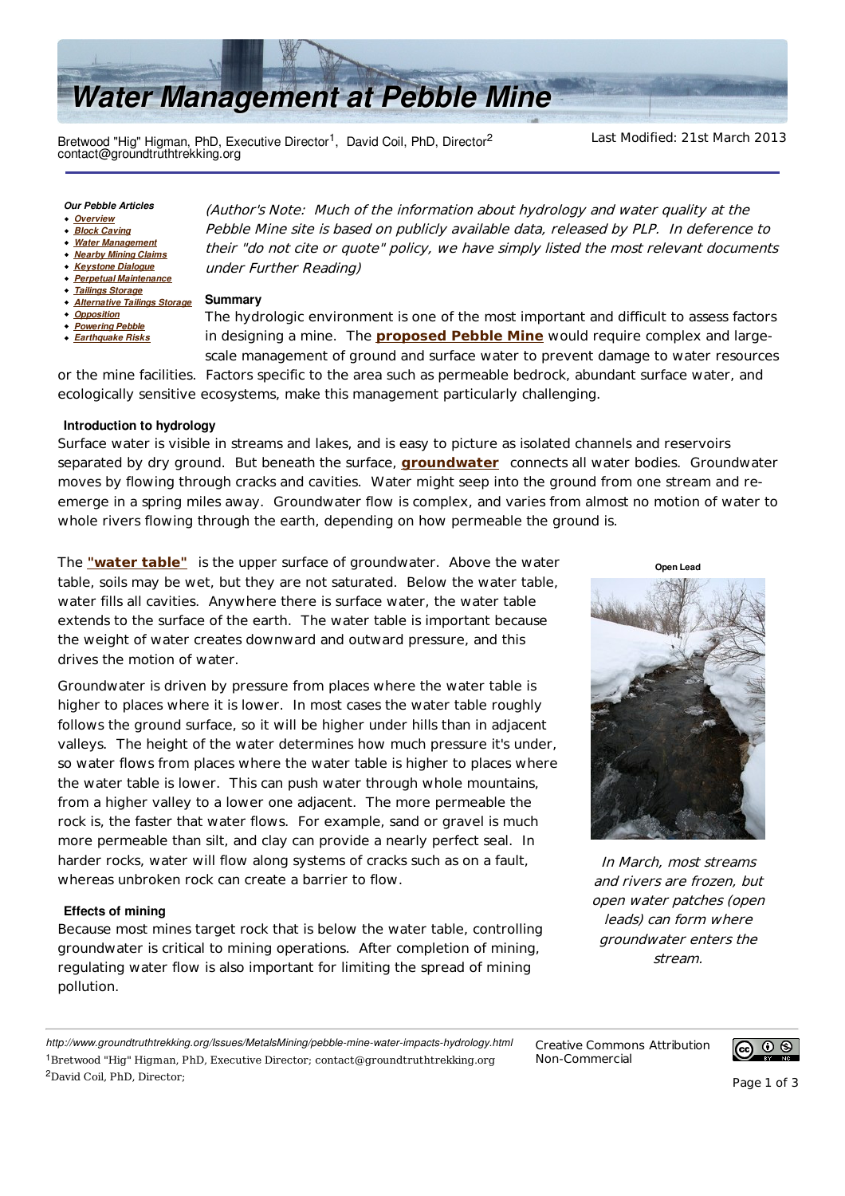

Bretwood "Hig" Higman, PhD, Executive Director<sup>1</sup>, David Coil, PhD, Director<sup>2</sup> contact@groundtruthtrekking.org

Last Modified: 21st March 2013

#### *Our Pebble Articles*

- *Overview*
- *Block Caving*
- *Water Management Nearby Mining Claims*
- *Keystone Dialogue*
- *Perpetual Maintenance*
- *Tailings Storage*
- *Alternative Tailings Storage*
- *Opposition*
- *Powering Pebble* **Earthquake Risks**

(Author's Note: Much of the information about hydrology and water quality at the Pebble Mine site is based on publicly available data, released by PLP. In deference to their "do not cite or quote" policy, we have simply listed the most relevant documents under Further Reading)

# **Summary**

The hydrologic environment is one of the most important and difficult to assess factors in designing a mine. The **proposed Pebble Mine** would require complex and largescale management of ground and surface water to prevent damage to water resources

or the mine facilities. Factors specific to the area such as permeable bedrock, abundant surface water, and ecologically sensitive ecosystems, make this management particularly challenging.

## **Introduction to hydrology**

Surface water is visible in streams and lakes, and is easy to picture as isolated channels and reservoirs separated by dry ground. But beneath the surface, **groundwater** connects all water bodies. Groundwater moves by flowing through cracks and cavities. Water might seep into the ground from one stream and reemerge in a spring miles away. Groundwater flow is complex, and varies from almost no motion of water to whole rivers flowing through the earth, depending on how permeable the ground is.

The **"water table"** is the upper surface of groundwater. Above the water table, soils may be wet, but they are not saturated. Below the water table, water fills all cavities. Anywhere there is surface water, the water table extends to the surface of the earth. The water table is important because the weight of water creates downward and outward pressure, and this drives the motion of water.

Groundwater is driven by pressure from places where the water table is higher to places where it is lower. In most cases the water table roughly follows the ground surface, so it will be higher under hills than in adjacent valleys. The height of the water determines how much pressure it's under, so water flows from places where the water table is higher to places where the water table is lower. This can push water through whole mountains, from a higher valley to a lower one adjacent. The more permeable the rock is, the faster that water flows. For example, sand or gravel is much more permeable than silt, and clay can provide a nearly perfect seal. In harder rocks, water will flow along systems of cracks such as on a fault, whereas unbroken rock can create a barrier to flow.

## **Effects of mining**

Because most mines target rock that is below the water table, controlling groundwater is critical to mining operations. After completion of mining, regulating water flow is also important for limiting the spread of mining pollution.



**Open Lead**



In March, most streams and rivers are frozen, but open water patches (open leads) can form where groundwater enters the stream.

*http://www.groundtruthtrekking.org/Issues/MetalsMining/pebble-mine-water-impacts-hydrology.html* <sup>1</sup>Bretwood "Hig" Higman, PhD, Executive Director; contact@groundtruthtrekking.org <sup>2</sup>David Coil, PhD, Director;

Creative Commons Attribution Non-Commercial

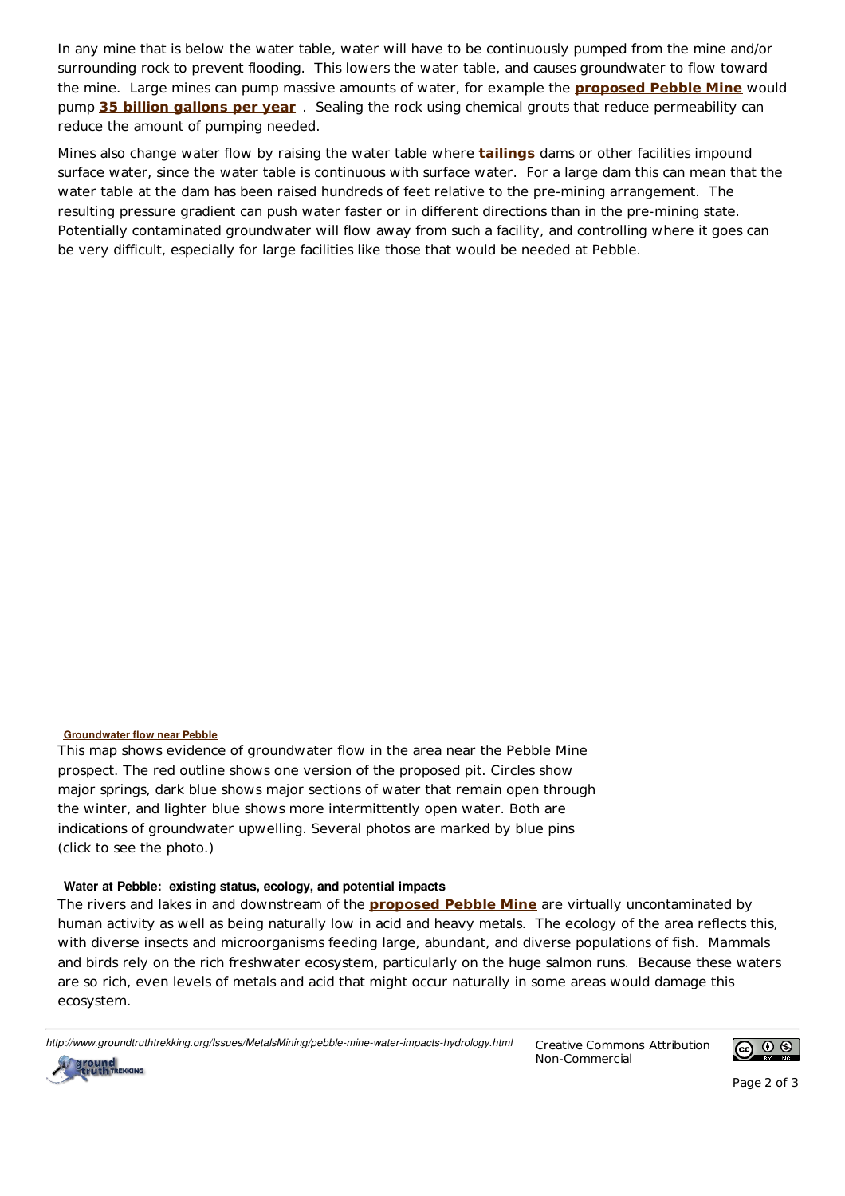In any mine that is below the water table, water will have to be continuously pumped from the mine and/or surrounding rock to prevent flooding. This lowers the water table, and causes groundwater to flow toward the mine. Large mines can pump massive amounts of water, for example the **proposed Pebble Mine** would pump **35 billion gallons per year** . Sealing the rock using chemical grouts that reduce permeability can reduce the amount of pumping needed.

Mines also change water flow by raising the water table where **tailings** dams or other facilities impound surface water, since the water table is continuous with surface water. For a large dam this can mean that the water table at the dam has been raised hundreds of feet relative to the pre-mining arrangement. The resulting pressure gradient can push water faster or in different directions than in the pre-mining state. Potentially contaminated groundwater will flow away from such a facility, and controlling where it goes can be very difficult, especially for large facilities like those that would be needed at Pebble.

## **Groundwater flow near Pebble**

This map shows evidence of groundwater flow in the area near the Pebble Mine prospect. The red outline shows one version of the proposed pit. Circles show major springs, dark blue shows major sections of water that remain open through the winter, and lighter blue shows more intermittently open water. Both are indications of groundwater upwelling. Several photos are marked by blue pins (click to see the photo.)

## Water at Pebble: existing status, ecology, and potential impacts

The rivers and lakes in and downstream of the **proposed Pebble Mine** are virtually uncontaminated by human activity as well as being naturally low in acid and heavy metals. The ecology of the area reflects this, with diverse insects and microorganisms feeding large, abundant, and diverse populations of fish. Mammals and birds rely on the rich freshwater ecosystem, particularly on the huge salmon runs. Because these waters are so rich, even levels of metals and acid that might occur naturally in some areas would damage this ecosystem.

*http://www.groundtruthtrekking.org/Issues/MetalsMining/pebble-mine-water-impacts-hydrology.html* Creative Commons Attribution

Non-Commercial